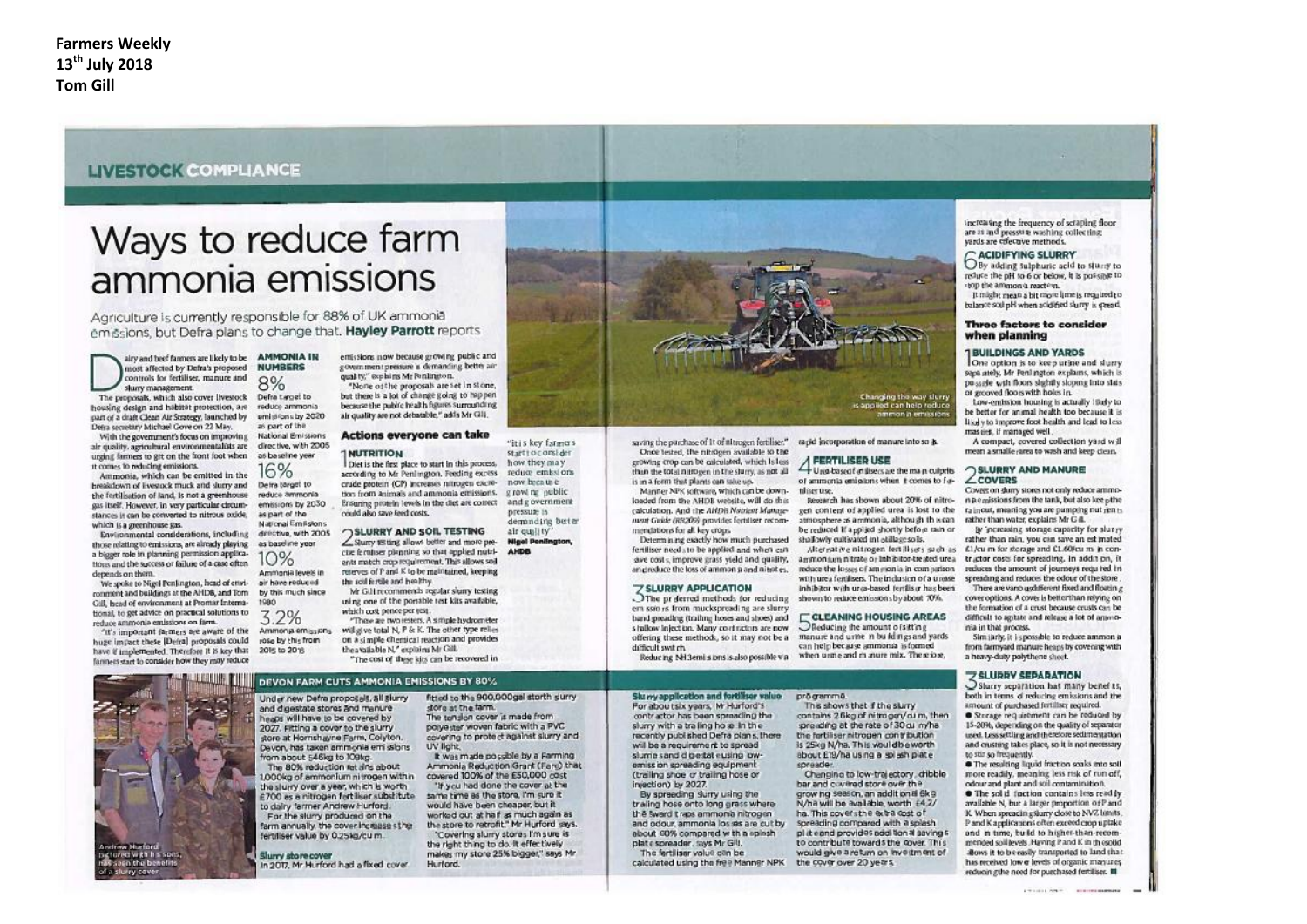### **LIVESTOCK COMPLIANCE**

# Ways to reduce farm ammonia emissions

Agriculture is currently responsible for 88% of UK ammonia emissions, but Defra plans to change that. Hayley Parrott reports

airy and beef fanners are likely to be most affected by Defra's proposed controls for fertiliser, manure and slurry management.

The proposals, which also cover livestock housing design and habitat protection, are part of a draft Clean Air Strategy, launched by Defra secretary Michael Gove on 22 May.

With the government's focus on improving air quality, agricultural environmentalists are urging farmers to get on the front foot when it comes to reducing emissions. Ammonia, which can be emitted in the

breakdown of livestock muck and slurry and the fertilisation of land, is not a greenhouse gas itself. However, in very particular circumstances it can be converted to nitrous oxide. which is a greenhouse gas.

Environmental considerations, including those relating to emissions, are already playing a bigger role in planning permission applications and the success or failure of a case often depends on them.

We spoke to Nigel Penlington, head of envi- air have reduced ronment and buildings at the AHDB, and Tom Gill, head of environment at Promar International, to get advice on practical solutions to reduce ammonia emissions on farm.

"It's important farmers are aware of the huge impact these [Defra] proposals could have if implemented. Therefore it is key that farmers start to consider how they may reduce



entissions now because growing public and **AMMONIA IN NUMBERS** 8% Defra twoel to

reduce ammonia emissions by 2020 as cort of the Mational Smittings

directive, with 2005 1 NUTRITION as baseline year 16% Deira target to

reduce ammonia emissions by 2030 as part of the National Emilistons drective, with 2005 as baseline year.

 $10%$ Ammonia levels in the soil fertile and healthy. by this much since

2015 to 2016

1980 3.2% Ammonja emissions rose by this from

Under new Defra proposals, all slurry

and digestate stores and manure

heaps will have to be covered by

2027. Fitting a cover to the slurry

from about 546kg to 109kg.

store at Hornshayne Farm, Colyton.

The 80% reduction retains about

the sturry over a year, which is worth

to dairy farmer Andrew Hurford.

fertiliser value by 0.25kg/cu m.

Shirry shore cover

For the slurry produced on the

Devon, has taken ammonia emi sslons

1000kg of ammonium nitrogen within

£700 as a nitrogen fortiliser substitute

farm annually, the cover incluses the

In 2017. Mr Hurford had a fixed cover.

covernment pressure's demanding better air quality," explains Mr Penlington. "None of the proposals are set in stone. but there is a lot of change going to happen. because the public health figures surrounding air quality are not debatable," adds Mr Gill.

### Actions everyone can take

start to consider how they may Diet is the first place to start in this process, reduce emissions according to Mr Penlington. Feeding excess crude protein (CP) increases nitrogen excremove have used g rowt me public tion from animals and ammonia emissions. Ensuring protein levels in the diet are correct and g overnment nressure is readd also save feed costs. demanding beter

"it is key fatmers

**SLURRY AND SOIL TESTING** air mulity' Sturry with allows better and more pre-**Nigel Penington** cise fertiliser planning so that applied nutrients match crop requirement. This allows soil reterves of P and K to be maintained, keeping

Mr Gill recommends regular sluny testing using one of the portable test kits available, which cost pence per test. "There are two resters. A simple hydrometer

will give total N, P & K. The other type relies on a simple chemical reaction and provides the available N," explains Mr Gill. "The cost of these kits can be recovered in

#### DEVON FARM CUTS AMMONIA EMISSIONS BY 80%

fitted to the 900,000gel storth slurry store at the farm. The tendon cover is made from poive-the woven fabric with a PVC covering to prote ct against slurry and LIV Books It was made possible by a Farming

Ammonia Reduction Grant (Farc) that covered 100% of the £50,000 cost "If you had done the cover at the same time as the store. I'm sure it would have been cheaper, but it worked out at half as much again as the store to retrofit." Mr Hurford says. "Covering slurry stores I'm sure is the right thing to do. It effectively makes my store 25% bigger," says Mr Hurtord



saving the purchase of 1t of nitrogen fertiliser." Once tested, the nitrogen available to the

erowing crop can be calculated, which Is less than the total nitroeen in the sturry, as not all is in a form that plants can take un.

Marsher NPK sofrware, which can be down. loaded from the AHDR website, will do this. calculation. And the AHDB Natriest Mattasement Guide (RR209) provides feetiliser recommendations for all key crops.

Determ is not exactly how much purchased fertiliser needs to be applied and when can ave costs, improve grass yield and quality, an creduce the loss of ammon a and nitrates.

## **ZSLURRY APPLICATION**<br>The preferred methods for reducing

em ssio is from muckspreading are slurrhand greading (trailing hoses and shoes) and s hallow inject too. Many continctors are now offering these methods, so it may not be a difficult wat ch.

ragid jocorporation of manure into so ik.

FERTILISER USE

Una based f at the cs are the ma p culprits of ammonia emissions when it comes to futil iser tire-

seasoch has shown about 20% of nitrogett content of applied urea is lost to the atmosphere as ammonia, although this can be reduced if applied shortly before rain or shallowly cultivated int otillage so Is.

Alternative nitrogen festilisers such as ammonium nitrate or inhibitor-treated urea tructor costs for spreading. In addition, it reduce the losses of ammonia in comparison with urea fertilisers. The inclusion of a usesse inhibitor with urea-based fertiliser has been shown to reduce emissions by about 70%.

**CLEANING HOUSING AREAS** Ofieducing the amount of sitting manure and urne n bu Id n gs and yards can help because ammonia is formed when urme and m anure mix. Therefore,

Reducing NH 3emi sions is also possible via

Slu my application and fortiliser valueprögrammö.

For about six years. Mr Hurford's contractor has been spreading the slurry with a trailing hose in the recently published Defra plans, there will be a requirement to spread slume sand digestat eusing lowemission spreading equipment (trailing shoe or trailing hose or injection) by 2027.

By spreeding surry using the traling hose onto long grass wherethe sward traps ammonia nitrogen and odour, ammonia los sis are cut by about 60% compared with a spissh plate spreader, says Mr Gill. The fertiliser value can be

calculated using the free Manner NPK

This shows that if the slurry contains 26kg of nitroger/ou m, then preading at the rate of 30 g m/ha the fertiliser nitrogen contribution is 25kg N/ha, This would be worth about £19/ha using a splash plate enraarlas

Changina to low-trajectory, dribble bar and covered store over the grow hg season, an addition if 6kg N/ha will be available, worth £4.2/ ha. This covers the extra cost of spreading compared with a splash plateand provides additional savings to contribute towards the cover. This would give a return on investment of the cover over 20 years.

increasing the frequency of scraping floor are as and pressure washing collecting: vards are effective methods.

**GACIDIFYING SLURRY**<br>O By adding sulphuric acid to slurry to reduce the oH to 6 or below. It is possible to stop the ammon's reaction.

It might mean a bit more lime is required to balance soil pH when acidified slumy is stread.

#### Three factors to consider when planning

#### **IBUILDINGS AND YARDS**

One option is to keep urine and slurry saga ately. Mr Penl ngton explains, which is possele with floors slightly sloping into slats. or grooved floors with holes in.

Low-emission housing is actually likely to be better for animal health too because it is likely to improve foot health and lead to less mas net. if managed well.

A compact, covered collection yard will mean a smalle rarea to wash and keep clean.

#### **SLURRY AND MANURE**  $\angle$ COVERS

Covret on there stores not only reduce ammon pemissions from the tank, but also kee other rainout, meaning you are pumping nut rien to rather than water, explains Mr G #.

W increasing storage capacity for slurvy rather than rain, you can save an est mated £1/cu m for storage and £1.60/cu m in conreduces the amount of journeys required in spreading and reduces the odour of the store There are vano uschfferent fixed and floatin g

cover options. A cover is better than relying on the formation of a crust because crusts can be difficult to antate and release a lot of ammonia in that process.

Sim jarly, it i spossible to reduce ammon a from farmward manure heans by covening with a heavy-duty polythene sheet.

### Z SLURRY SEPARATION

Slurry separation has many benef ts, both in terms of reducing emissions and the amount of purchased fertiliser required. Storage requirement can be reduced by

15-20%, depending on the quality of separator used. Less settling and therefore sedimentation and crusting takes place, so it is not necessary to stir so frequently.

· The resulting liquid fraction soaks into soil more readily, meaning less risk of run off. noitutimateos livi bos trude bes undo.

· The solid faction contains less readily available N, but a larger proportion of P and K. When spreading slurry close to NVZ limits. P and K applications often exceed crop uptake and in time, build to higher-than-recommended soil levels. Having P and K in thosolid allows it to be easily transported to land that has received low a levels of organic manures reducin gihe need for purchased fertiliser.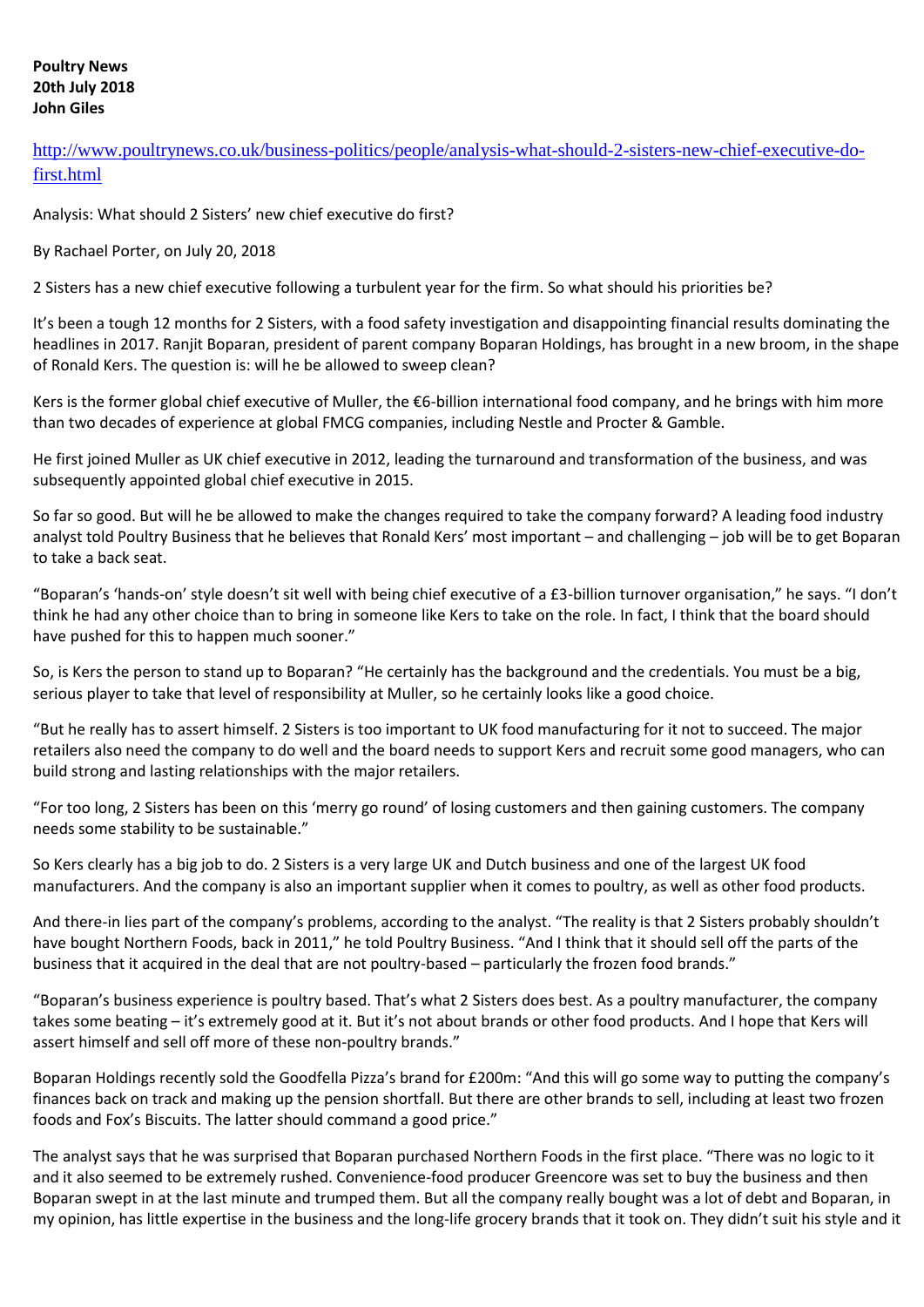### **Poultry News 20th July 2018 John Giles**

[http://www.poultrynews.co.uk/business-politics/people/analysis-what-should-2-sisters-new-chief-executive-do](http://www.poultrynews.co.uk/business-politics/people/analysis-what-should-2-sisters-new-chief-executive-do-first.html)[first.html](http://www.poultrynews.co.uk/business-politics/people/analysis-what-should-2-sisters-new-chief-executive-do-first.html)

Analysis: What should 2 Sisters' new chief executive do first?

By Rachael Porter, on July 20, 2018

2 Sisters has a new chief executive following a turbulent year for the firm. So what should his priorities be?

It's been a tough 12 months for 2 Sisters, with a food safety investigation and disappointing financial results dominating the headlines in 2017. Ranjit Boparan, president of parent company Boparan Holdings, has brought in a new broom, in the shape of Ronald Kers. The question is: will he be allowed to sweep clean?

Kers is the former global chief executive of Muller, the €6-billion international food company, and he brings with him more than two decades of experience at global FMCG companies, including Nestle and Procter & Gamble.

He first joined Muller as UK chief executive in 2012, leading the turnaround and transformation of the business, and was subsequently appointed global chief executive in 2015.

So far so good. But will he be allowed to make the changes required to take the company forward? A leading food industry analyst told Poultry Business that he believes that Ronald Kers' most important – and challenging – job will be to get Boparan to take a back seat.

"Boparan's 'hands-on' style doesn't sit well with being chief executive of a £3-billion turnover organisation," he says. "I don't think he had any other choice than to bring in someone like Kers to take on the role. In fact, I think that the board should have pushed for this to happen much sooner."

So, is Kers the person to stand up to Boparan? "He certainly has the background and the credentials. You must be a big, serious player to take that level of responsibility at Muller, so he certainly looks like a good choice.

"But he really has to assert himself. 2 Sisters is too important to UK food manufacturing for it not to succeed. The major retailers also need the company to do well and the board needs to support Kers and recruit some good managers, who can build strong and lasting relationships with the major retailers.

"For too long, 2 Sisters has been on this 'merry go round' of losing customers and then gaining customers. The company needs some stability to be sustainable."

So Kers clearly has a big job to do. 2 Sisters is a very large UK and Dutch business and one of the largest UK food manufacturers. And the company is also an important supplier when it comes to poultry, as well as other food products.

And there-in lies part of the company's problems, according to the analyst. "The reality is that 2 Sisters probably shouldn't have bought Northern Foods, back in 2011," he told Poultry Business. "And I think that it should sell off the parts of the business that it acquired in the deal that are not poultry-based – particularly the frozen food brands."

"Boparan's business experience is poultry based. That's what 2 Sisters does best. As a poultry manufacturer, the company takes some beating – it's extremely good at it. But it's not about brands or other food products. And I hope that Kers will assert himself and sell off more of these non-poultry brands."

Boparan Holdings recently sold the Goodfella Pizza's brand for £200m: "And this will go some way to putting the company's finances back on track and making up the pension shortfall. But there are other brands to sell, including at least two frozen foods and Fox's Biscuits. The latter should command a good price."

The analyst says that he was surprised that Boparan purchased Northern Foods in the first place. "There was no logic to it and it also seemed to be extremely rushed. Convenience-food producer Greencore was set to buy the business and then Boparan swept in at the last minute and trumped them. But all the company really bought was a lot of debt and Boparan, in my opinion, has little expertise in the business and the long-life grocery brands that it took on. They didn't suit his style and it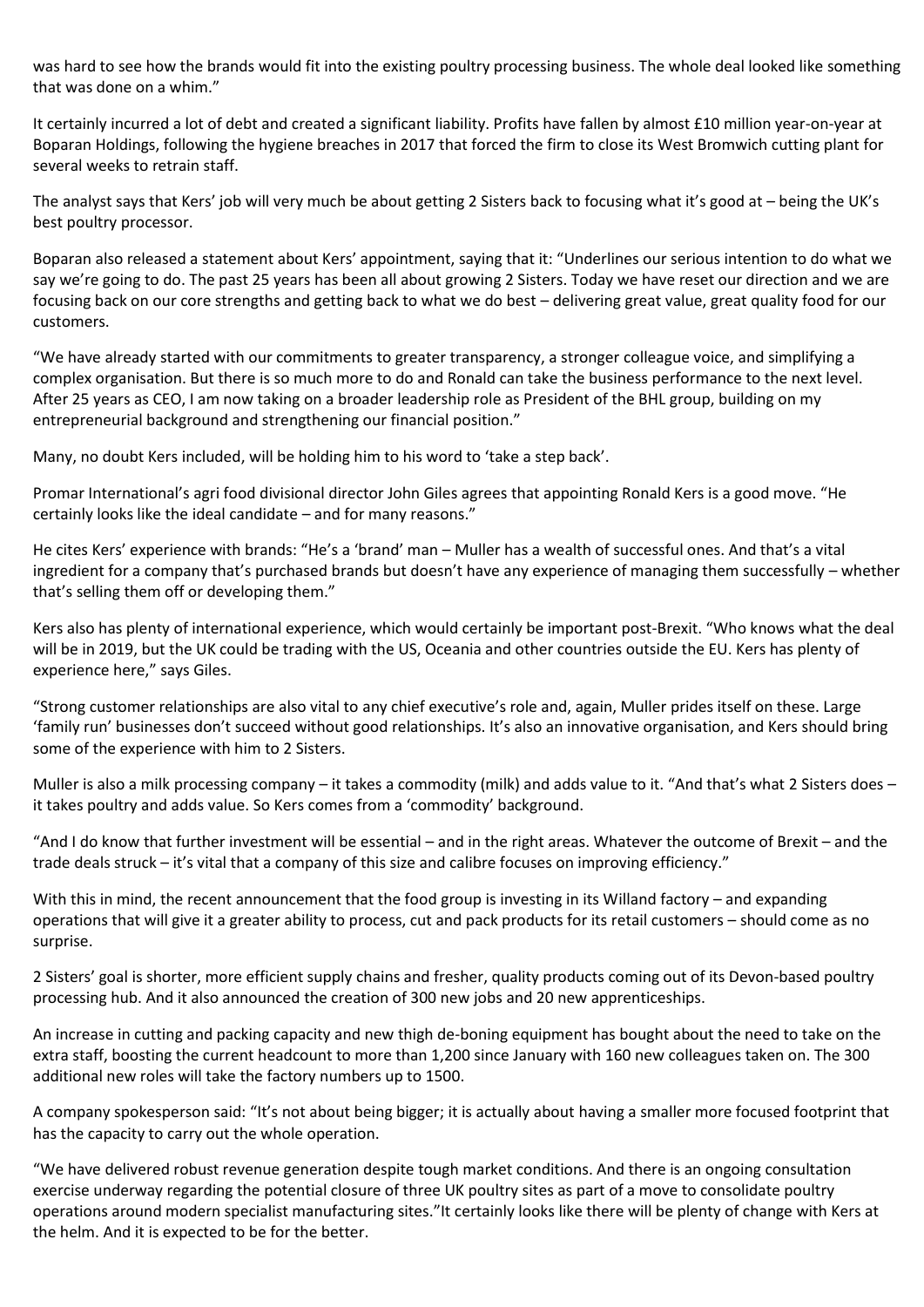was hard to see how the brands would fit into the existing poultry processing business. The whole deal looked like something that was done on a whim."

It certainly incurred a lot of debt and created a significant liability. Profits have fallen by almost £10 million year-on-year at Boparan Holdings, following the hygiene breaches in 2017 that forced the firm to close its West Bromwich cutting plant for several weeks to retrain staff.

The analyst says that Kers' job will very much be about getting 2 Sisters back to focusing what it's good at – being the UK's best poultry processor.

Boparan also released a statement about Kers' appointment, saying that it: "Underlines our serious intention to do what we say we're going to do. The past 25 years has been all about growing 2 Sisters. Today we have reset our direction and we are focusing back on our core strengths and getting back to what we do best – delivering great value, great quality food for our customers.

"We have already started with our commitments to greater transparency, a stronger colleague voice, and simplifying a complex organisation. But there is so much more to do and Ronald can take the business performance to the next level. After 25 years as CEO, I am now taking on a broader leadership role as President of the BHL group, building on my entrepreneurial background and strengthening our financial position."

Many, no doubt Kers included, will be holding him to his word to 'take a step back'.

Promar International's agri food divisional director John Giles agrees that appointing Ronald Kers is a good move. "He certainly looks like the ideal candidate – and for many reasons."

He cites Kers' experience with brands: "He's a 'brand' man – Muller has a wealth of successful ones. And that's a vital ingredient for a company that's purchased brands but doesn't have any experience of managing them successfully – whether that's selling them off or developing them."

Kers also has plenty of international experience, which would certainly be important post-Brexit. "Who knows what the deal will be in 2019, but the UK could be trading with the US, Oceania and other countries outside the EU. Kers has plenty of experience here," says Giles.

"Strong customer relationships are also vital to any chief executive's role and, again, Muller prides itself on these. Large 'family run' businesses don't succeed without good relationships. It's also an innovative organisation, and Kers should bring some of the experience with him to 2 Sisters.

Muller is also a milk processing company – it takes a commodity (milk) and adds value to it. "And that's what 2 Sisters does – it takes poultry and adds value. So Kers comes from a 'commodity' background.

"And I do know that further investment will be essential – and in the right areas. Whatever the outcome of Brexit – and the trade deals struck – it's vital that a company of this size and calibre focuses on improving efficiency."

With this in mind, the recent announcement that the food group is investing in its Willand factory – and expanding operations that will give it a greater ability to process, cut and pack products for its retail customers – should come as no surprise.

2 Sisters' goal is shorter, more efficient supply chains and fresher, quality products coming out of its Devon-based poultry processing hub. And it also announced the creation of 300 new jobs and 20 new apprenticeships.

An increase in cutting and packing capacity and new thigh de-boning equipment has bought about the need to take on the extra staff, boosting the current headcount to more than 1,200 since January with 160 new colleagues taken on. The 300 additional new roles will take the factory numbers up to 1500.

A company spokesperson said: "It's not about being bigger; it is actually about having a smaller more focused footprint that has the capacity to carry out the whole operation.

"We have delivered robust revenue generation despite tough market conditions. And there is an ongoing consultation exercise underway regarding the potential closure of three UK poultry sites as part of a move to consolidate poultry operations around modern specialist manufacturing sites."It certainly looks like there will be plenty of change with Kers at the helm. And it is expected to be for the better.